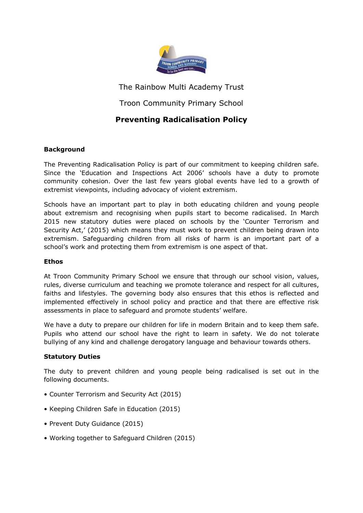

The Rainbow Multi Academy Trust

# Troon Community Primary School

# **Preventing Radicalisation Policy**

# **Background**

The Preventing Radicalisation Policy is part of our commitment to keeping children safe. Since the 'Education and Inspections Act 2006' schools have a duty to promote community cohesion. Over the last few years global events have led to a growth of extremist viewpoints, including advocacy of violent extremism.

Schools have an important part to play in both educating children and young people about extremism and recognising when pupils start to become radicalised. In March 2015 new statutory duties were placed on schools by the 'Counter Terrorism and Security Act,' (2015) which means they must work to prevent children being drawn into extremism. Safeguarding children from all risks of harm is an important part of a school's work and protecting them from extremism is one aspect of that.

# **Ethos**

At Troon Community Primary School we ensure that through our school vision, values, rules, diverse curriculum and teaching we promote tolerance and respect for all cultures, faiths and lifestyles. The governing body also ensures that this ethos is reflected and implemented effectively in school policy and practice and that there are effective risk assessments in place to safeguard and promote students' welfare.

We have a duty to prepare our children for life in modern Britain and to keep them safe. Pupils who attend our school have the right to learn in safety. We do not tolerate bullying of any kind and challenge derogatory language and behaviour towards others.

# **Statutory Duties**

The duty to prevent children and young people being radicalised is set out in the following documents.

- Counter Terrorism and Security Act (2015)
- Keeping Children Safe in Education (2015)
- Prevent Duty Guidance (2015)
- Working together to Safeguard Children (2015)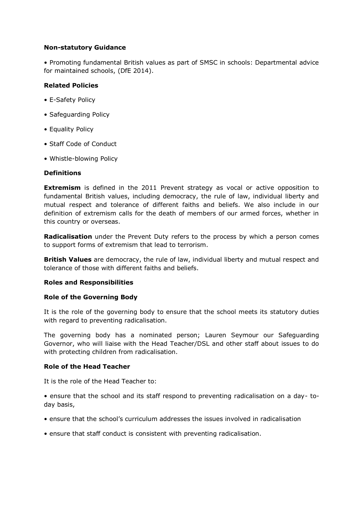# **Non-statutory Guidance**

• Promoting fundamental British values as part of SMSC in schools: Departmental advice for maintained schools, (DfE 2014).

## **Related Policies**

- E-Safety Policy
- Safeguarding Policy
- Equality Policy
- Staff Code of Conduct
- Whistle-blowing Policy

## **Definitions**

**Extremism** is defined in the 2011 Prevent strategy as vocal or active opposition to fundamental British values, including democracy, the rule of law, individual liberty and mutual respect and tolerance of different faiths and beliefs. We also include in our definition of extremism calls for the death of members of our armed forces, whether in this country or overseas.

**Radicalisation** under the Prevent Duty refers to the process by which a person comes to support forms of extremism that lead to terrorism.

**British Values** are democracy, the rule of law, individual liberty and mutual respect and tolerance of those with different faiths and beliefs.

#### **Roles and Responsibilities**

#### **Role of the Governing Body**

It is the role of the governing body to ensure that the school meets its statutory duties with regard to preventing radicalisation.

The governing body has a nominated person; Lauren Seymour our Safeguarding Governor, who will liaise with the Head Teacher/DSL and other staff about issues to do with protecting children from radicalisation.

#### **Role of the Head Teacher**

It is the role of the Head Teacher to:

• ensure that the school and its staff respond to preventing radicalisation on a day- today basis,

- ensure that the school's curriculum addresses the issues involved in radicalisation
- ensure that staff conduct is consistent with preventing radicalisation.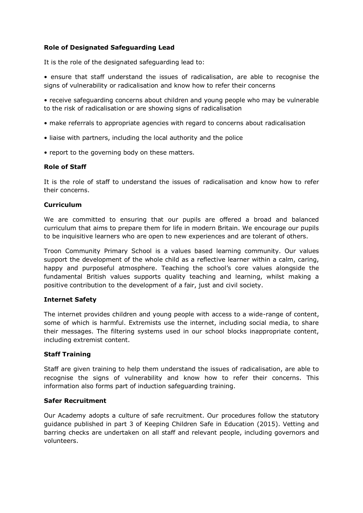# **Role of Designated Safeguarding Lead**

It is the role of the designated safeguarding lead to:

• ensure that staff understand the issues of radicalisation, are able to recognise the signs of vulnerability or radicalisation and know how to refer their concerns

• receive safeguarding concerns about children and young people who may be vulnerable to the risk of radicalisation or are showing signs of radicalisation

- make referrals to appropriate agencies with regard to concerns about radicalisation
- liaise with partners, including the local authority and the police
- report to the governing body on these matters.

## **Role of Staff**

It is the role of staff to understand the issues of radicalisation and know how to refer their concerns.

## **Curriculum**

We are committed to ensuring that our pupils are offered a broad and balanced curriculum that aims to prepare them for life in modern Britain. We encourage our pupils to be inquisitive learners who are open to new experiences and are tolerant of others.

Troon Community Primary School is a values based learning community. Our values support the development of the whole child as a reflective learner within a calm, caring, happy and purposeful atmosphere. Teaching the school's core values alongside the fundamental British values supports quality teaching and learning, whilst making a positive contribution to the development of a fair, just and civil society.

# **Internet Safety**

The internet provides children and young people with access to a wide-range of content, some of which is harmful. Extremists use the internet, including social media, to share their messages. The filtering systems used in our school blocks inappropriate content, including extremist content.

#### **Staff Training**

Staff are given training to help them understand the issues of radicalisation, are able to recognise the signs of vulnerability and know how to refer their concerns. This information also forms part of induction safeguarding training.

#### **Safer Recruitment**

Our Academy adopts a culture of safe recruitment. Our procedures follow the statutory guidance published in part 3 of Keeping Children Safe in Education (2015). Vetting and barring checks are undertaken on all staff and relevant people, including governors and volunteers.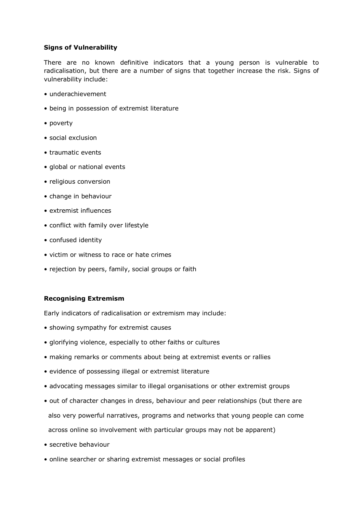# **Signs of Vulnerability**

There are no known definitive indicators that a young person is vulnerable to radicalisation, but there are a number of signs that together increase the risk. Signs of vulnerability include:

- underachievement
- being in possession of extremist literature
- poverty
- social exclusion
- traumatic events
- global or national events
- religious conversion
- change in behaviour
- extremist influences
- conflict with family over lifestyle
- confused identity
- victim or witness to race or hate crimes
- rejection by peers, family, social groups or faith

## **Recognising Extremism**

Early indicators of radicalisation or extremism may include:

- showing sympathy for extremist causes
- glorifying violence, especially to other faiths or cultures
- making remarks or comments about being at extremist events or rallies
- evidence of possessing illegal or extremist literature
- advocating messages similar to illegal organisations or other extremist groups
- out of character changes in dress, behaviour and peer relationships (but there are also very powerful narratives, programs and networks that young people can come across online so involvement with particular groups may not be apparent)
- secretive behaviour
- online searcher or sharing extremist messages or social profiles